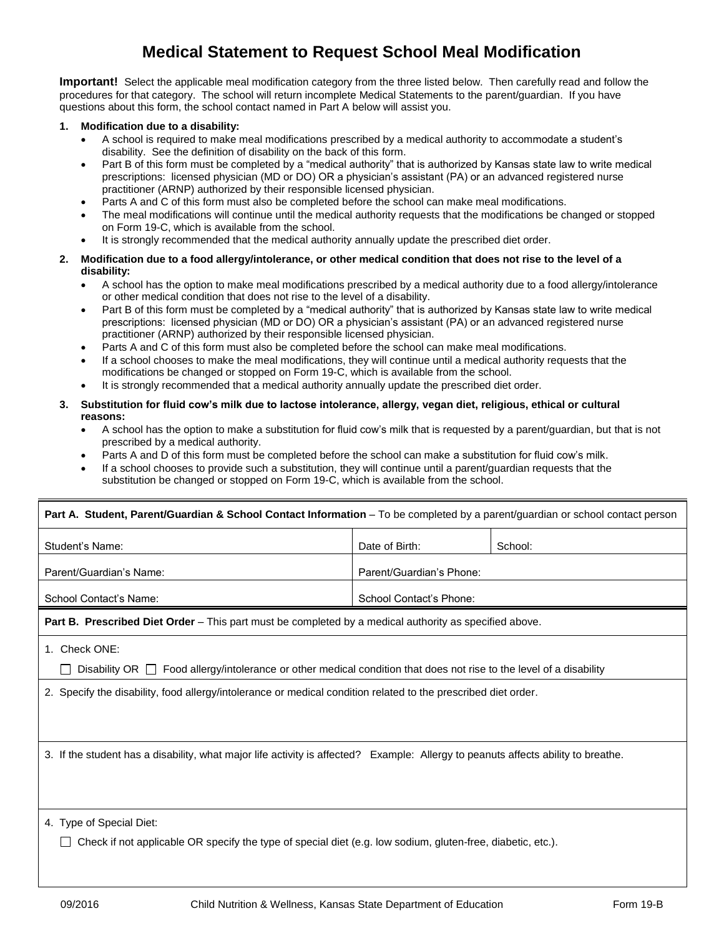## **Medical Statement to Request School Meal Modification**

**Important!** Select the applicable meal modification category from the three listed below. Then carefully read and follow the procedures for that category. The school will return incomplete Medical Statements to the parent/guardian. If you have questions about this form, the school contact named in Part A below will assist you.

## **1. Modification due to a disability:**

- A school is required to make meal modifications prescribed by a medical authority to accommodate a student's disability. See the definition of disability on the back of this form.
- Part B of this form must be completed by a "medical authority" that is authorized by Kansas state law to write medical prescriptions: licensed physician (MD or DO) OR a physician's assistant (PA) or an advanced registered nurse practitioner (ARNP) authorized by their responsible licensed physician.
- Parts A and C of this form must also be completed before the school can make meal modifications.
- The meal modifications will continue until the medical authority requests that the modifications be changed or stopped on Form 19-C, which is available from the school.
- It is strongly recommended that the medical authority annually update the prescribed diet order.
- **2. Modification due to a food allergy/intolerance, or other medical condition that does not rise to the level of a disability:**
	- A school has the option to make meal modifications prescribed by a medical authority due to a food allergy/intolerance or other medical condition that does not rise to the level of a disability.
	- Part B of this form must be completed by a "medical authority" that is authorized by Kansas state law to write medical prescriptions: licensed physician (MD or DO) OR a physician's assistant (PA) or an advanced registered nurse practitioner (ARNP) authorized by their responsible licensed physician.
	- Parts A and C of this form must also be completed before the school can make meal modifications.
	- If a school chooses to make the meal modifications, they will continue until a medical authority requests that the modifications be changed or stopped on Form 19-C, which is available from the school.
	- It is strongly recommended that a medical authority annually update the prescribed diet order.
- **3. Substitution for fluid cow's milk due to lactose intolerance, allergy, vegan diet, religious, ethical or cultural reasons:**
	- A school has the option to make a substitution for fluid cow's milk that is requested by a parent/guardian, but that is not prescribed by a medical authority.
	- Parts A and D of this form must be completed before the school can make a substitution for fluid cow's milk.
	- If a school chooses to provide such a substitution, they will continue until a parent/guardian requests that the substitution be changed or stopped on Form 19-C, which is available from the school.

| Part A. Student, Parent/Guardian & School Contact Information – To be completed by a parent/guardian or school contact person     |                          |         |  |  |  |
|-----------------------------------------------------------------------------------------------------------------------------------|--------------------------|---------|--|--|--|
| Student's Name:                                                                                                                   | Date of Birth:           | School: |  |  |  |
| Parent/Guardian's Name:                                                                                                           | Parent/Guardian's Phone: |         |  |  |  |
| School Contact's Name:                                                                                                            | School Contact's Phone:  |         |  |  |  |
| <b>Part B. Prescribed Diet Order</b> – This part must be completed by a medical authority as specified above.                     |                          |         |  |  |  |
| 1. Check ONE:                                                                                                                     |                          |         |  |  |  |
| Disability OR $\Box$ Food allergy/intolerance or other medical condition that does not rise to the level of a disability          |                          |         |  |  |  |
| 2. Specify the disability, food allergy/intolerance or medical condition related to the prescribed diet order.                    |                          |         |  |  |  |
|                                                                                                                                   |                          |         |  |  |  |
| 3. If the student has a disability, what major life activity is affected? Example: Allergy to peanuts affects ability to breathe. |                          |         |  |  |  |
|                                                                                                                                   |                          |         |  |  |  |
|                                                                                                                                   |                          |         |  |  |  |
| 4. Type of Special Diet:                                                                                                          |                          |         |  |  |  |
| $\Box$ Check if not applicable OD aposity the two of aposial dist (e.g. low addium, aluten free, displation ato)                  |                          |         |  |  |  |

Check if not applicable OR specify the type of special diet (e.g. low sodium, gluten-free, diabetic, etc.).